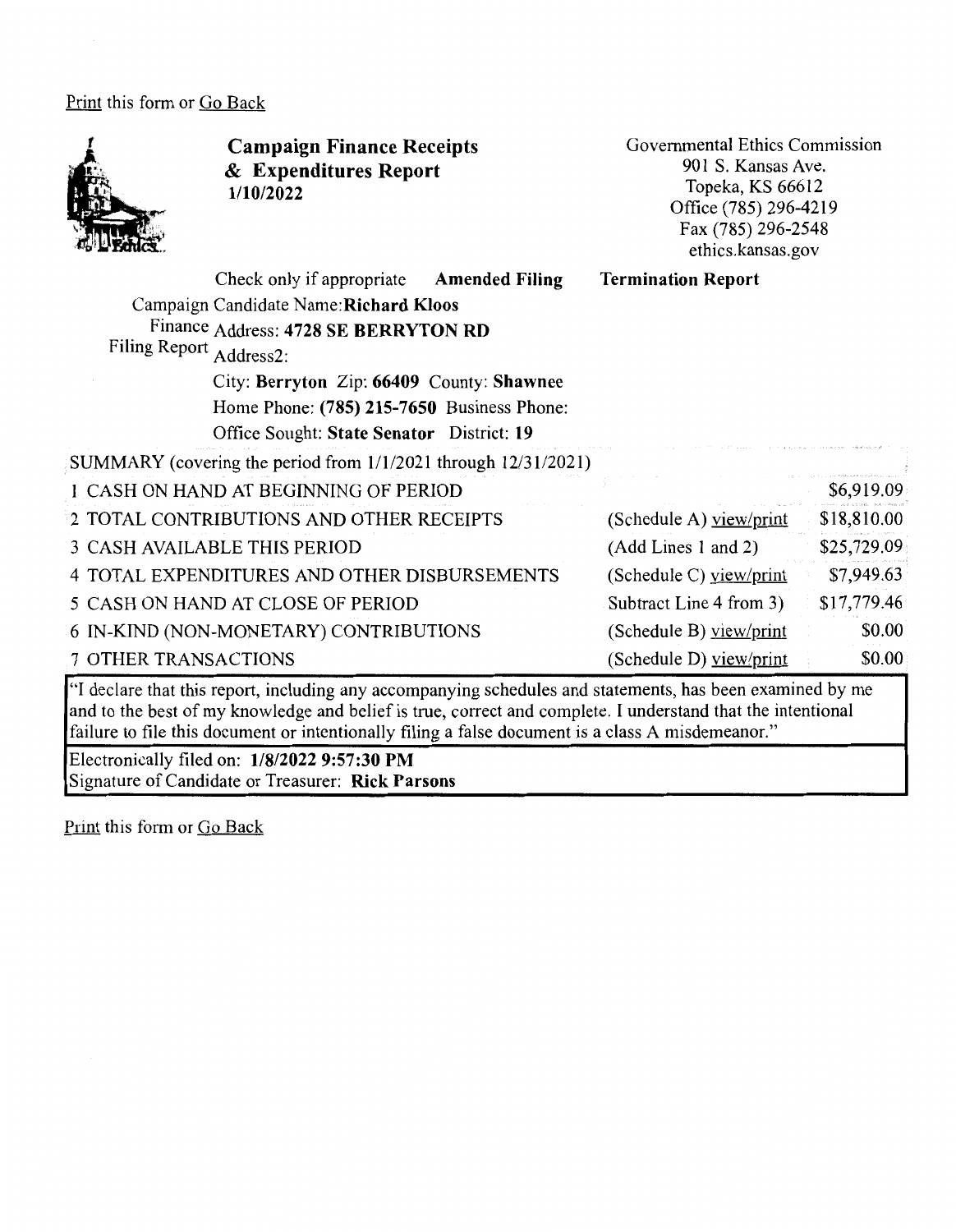Print this form or Go Back



**Campaign Finance Receipts**  & **Expenditures Report 1/10/2022** 

Governmental Ethics Commission 901 S. Kansas Ave. Topeka, KS 66612 Office (785) 296-4219 Fax(785)296-2548 ethics.kansas.gov

| <b>Filing Report</b>        | Check only if appropriate<br>Campaign Candidate Name: Richard Kloos<br>Finance Address: 4728 SE BERRYTON RD<br>Address2:<br>City: Berryton Zip: 66409 County: Shawnee<br>Home Phone: (785) 215-7650 Business Phone:<br>Office Sought: State Senator District: 19 | <b>Amended Filing</b> | <b>Termination Report</b> |             |
|-----------------------------|------------------------------------------------------------------------------------------------------------------------------------------------------------------------------------------------------------------------------------------------------------------|-----------------------|---------------------------|-------------|
|                             | SUMMARY (covering the period from 1/1/2021 through 12/31/2021)                                                                                                                                                                                                   |                       |                           |             |
|                             | 1 CASH ON HAND AT BEGINNING OF PERIOD                                                                                                                                                                                                                            |                       |                           | \$6,919.09  |
|                             | 2 TOTAL CONTRIBUTIONS AND OTHER RECEIPTS                                                                                                                                                                                                                         |                       | (Schedule A) yiew/print   | \$18,810.00 |
|                             | <b>3 CASH AVAILABLE THIS PERIOD</b>                                                                                                                                                                                                                              |                       | (Add Lines 1 and 2)       | \$25,729.09 |
|                             | 4 TOTAL EXPENDITURES AND OTHER DISBURSEMENTS                                                                                                                                                                                                                     |                       | (Schedule C) $view/print$ | \$7,949.63  |
|                             | 5 CASH ON HAND AT CLOSE OF PERIOD                                                                                                                                                                                                                                |                       | Subtract Line 4 from 3)   | \$17,779.46 |
|                             | 6 IN-KIND (NON-MONETARY) CONTRIBUTIONS                                                                                                                                                                                                                           |                       | (Schedule B) view/print   | \$0.00      |
| <b>7 OTHER TRANSACTIONS</b> |                                                                                                                                                                                                                                                                  |                       | (Schedule D) view/print   | \$0.00      |

"I declare that this report, including any accompanying schedules and statements, has been examined by me and to the best of my knowledge and belief is true, correct and complete. I understand that the intentional failure to file this document or intentionally filing a false document is a class A misdemeanor."

Electronically filed on: **1/8/2022 9:57:30 PM**  Signature of Candidate or Treasurer: **Rick Parsons** 

Print this form or Go Back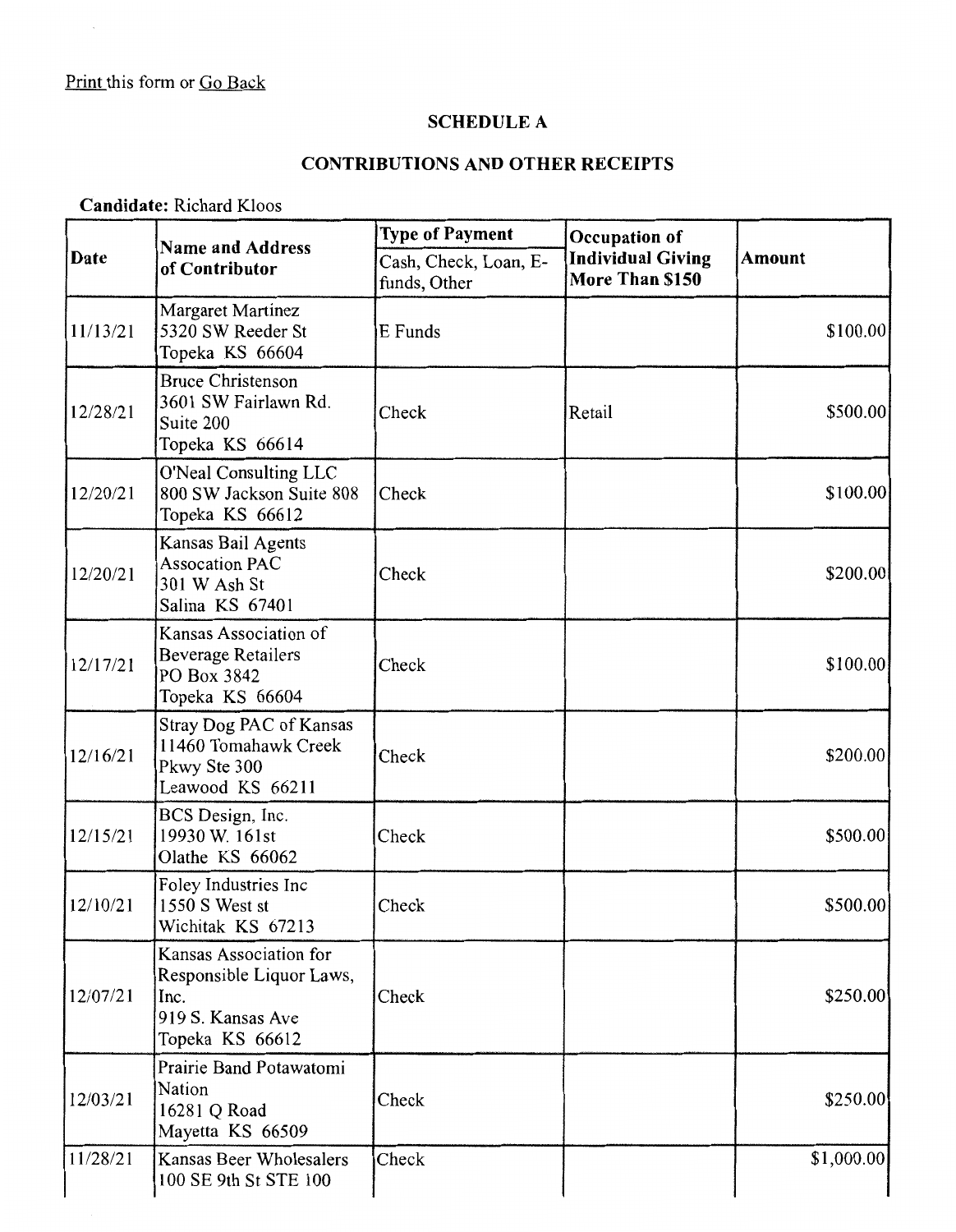### **SCHEDULE A**

# **CONTRIBUTIONS AND OTHER RECEIPTS**

**Candidate:** Richard Kloos

|          | <b>Name and Address</b><br>of Contributor                                                          | <b>Type of Payment</b>                | Occupation of                               | <b>Amount</b> |
|----------|----------------------------------------------------------------------------------------------------|---------------------------------------|---------------------------------------------|---------------|
| Date     |                                                                                                    | Cash, Check, Loan, E-<br>funds, Other | <b>Individual Giving</b><br>More Than \$150 |               |
| 11/13/21 | Margaret Martinez<br>5320 SW Reeder St<br>Topeka KS 66604                                          | E Funds                               |                                             | \$100.00]     |
| 12/28/21 | <b>Bruce Christenson</b><br>3601 SW Fairlawn Rd.<br>Suite 200<br>Topeka KS 66614                   | Check                                 | Retail                                      | \$500.00      |
| 12/20/21 | O'Neal Consulting LLC<br>800 SW Jackson Suite 808<br>Topeka KS 66612                               | Check                                 |                                             | \$100.00      |
| 12/20/21 | Kansas Bail Agents<br><b>Assocation PAC</b><br>301 W Ash St<br>Salina KS 67401                     | Check                                 |                                             | \$200.00      |
| 12/17/21 | Kansas Association of<br><b>Beverage Retailers</b><br>PO Box 3842<br>Topeka KS 66604               | Check                                 |                                             | \$100.00]     |
| 12/16/21 | <b>Stray Dog PAC of Kansas</b><br>11460 Tomahawk Creek<br>Pkwy Ste 300<br>Leawood KS 66211         | Check                                 |                                             | \$200.00      |
| 12/15/21 | BCS Design, Inc.<br>19930 W. 161st<br>Olathe KS 66062                                              | Check                                 |                                             | \$500.00      |
| 12/10/21 | Foley Industries Inc<br>1550 S West st<br>Wichitak KS 67213                                        | Check                                 |                                             | \$500.00      |
| 12/07/21 | Kansas Association for<br>Responsible Liquor Laws,<br>Inc.<br>919 S. Kansas Ave<br>Topeka KS 66612 | Check                                 |                                             | \$250.00      |
| 12/03/21 | Prairie Band Potawatomi<br>Nation<br>16281 Q Road<br>Mayetta KS 66509                              | Check                                 |                                             | \$250.00      |
| 11/28/21 | Kansas Beer Wholesalers<br>100 SE 9th St STE 100                                                   | Check                                 |                                             | \$1,000.00    |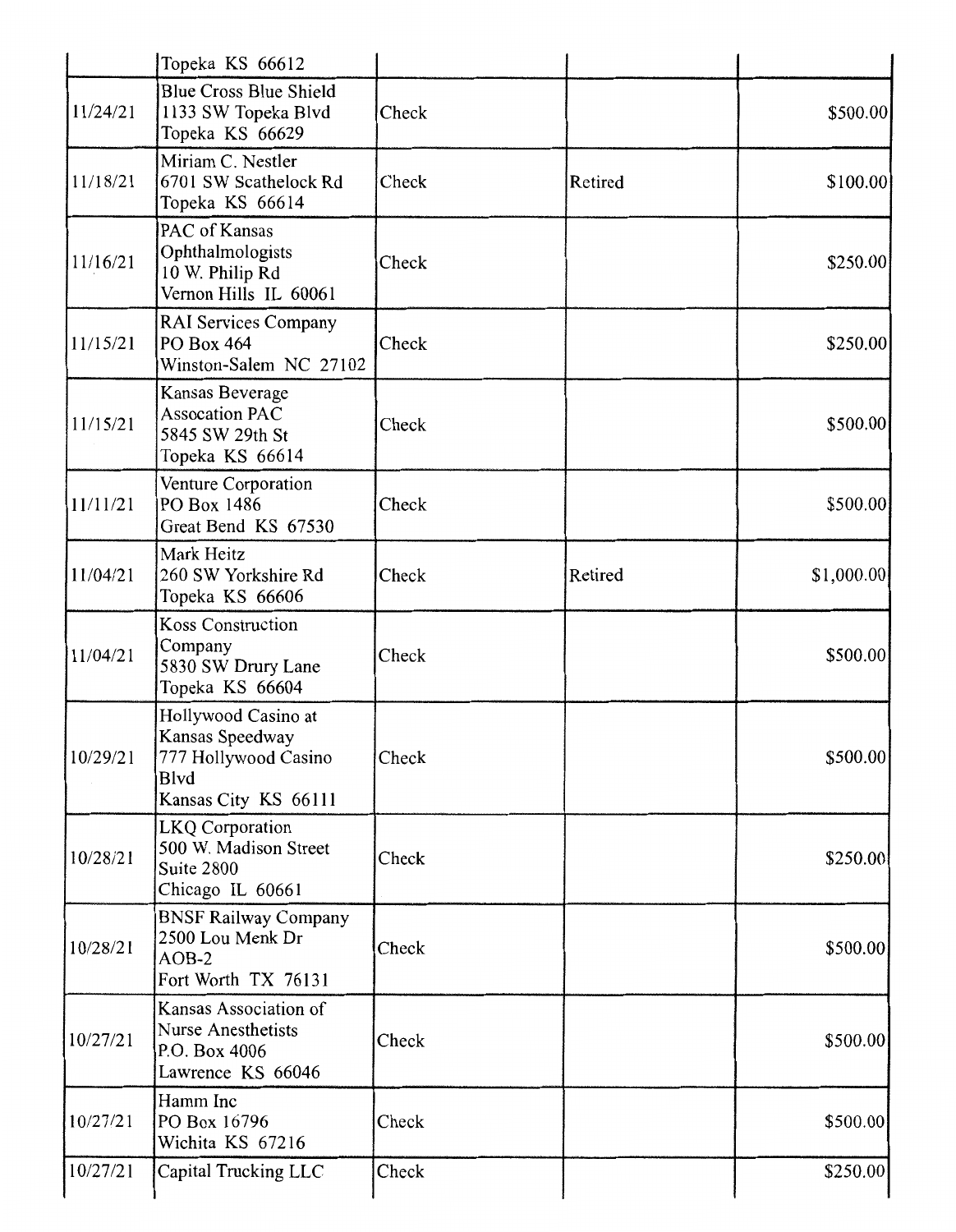|          | Topeka KS 66612                                                                                |       |         |            |
|----------|------------------------------------------------------------------------------------------------|-------|---------|------------|
| 11/24/21 | <b>Blue Cross Blue Shield</b><br>1133 SW Topeka Blvd<br>Topeka KS 66629                        | Check |         | \$500.00   |
| 11/18/21 | Miriam C. Nestler<br>6701 SW Scathelock Rd<br>Topeka KS 66614                                  | Check | Retired | \$100.00   |
| 11/16/21 | PAC of Kansas<br>Ophthalmologists<br>10 W. Philip Rd<br>Vernon Hills IL 60061                  | Check |         | \$250.00   |
| 11/15/21 | RAI Services Company<br>PO Box 464<br>Winston-Salem NC 27102                                   | Check |         | \$250.00   |
| 11/15/21 | Kansas Beverage<br><b>Assocation PAC</b><br>5845 SW 29th St<br>Topeka KS 66614                 | Check |         | \$500.00   |
| 11/11/21 | Venture Corporation<br>PO Box 1486<br>Great Bend KS 67530                                      | Check |         | \$500.00   |
| 11/04/21 | Mark Heitz<br>260 SW Yorkshire Rd<br>Topeka KS 66606                                           | Check | Retired | \$1,000.00 |
| 11/04/21 | Koss Construction<br>Company<br>5830 SW Drury Lane<br>Topeka KS 66604                          | Check |         | \$500.00   |
| 10/29/21 | Hollywood Casino at<br>Kansas Speedway<br>777 Hollywood Casino<br>Blvd<br>Kansas City KS 66111 | Check |         | \$500.00   |
| 10/28/21 | <b>LKQ</b> Corporation<br>500 W. Madison Street<br>Suite 2800<br>Chicago IL 60661              | Check |         | \$250.00   |
| 10/28/21 | <b>BNSF Railway Company</b><br>2500 Lou Menk Dr<br>$AOB-2$<br>Fort Worth TX 76131              | Check |         | \$500.00   |
| 10/27/21 | Kansas Association of<br><b>Nurse Anesthetists</b><br>P.O. Box 4006<br>Lawrence KS 66046       | Check |         | \$500.00   |
| 10/27/21 | Hamm Inc<br>PO Box 16796<br>Wichita KS 67216                                                   | Check |         | \$500.00   |
| 10/27/21 | Capital Trucking LLC                                                                           | Check |         | \$250.00   |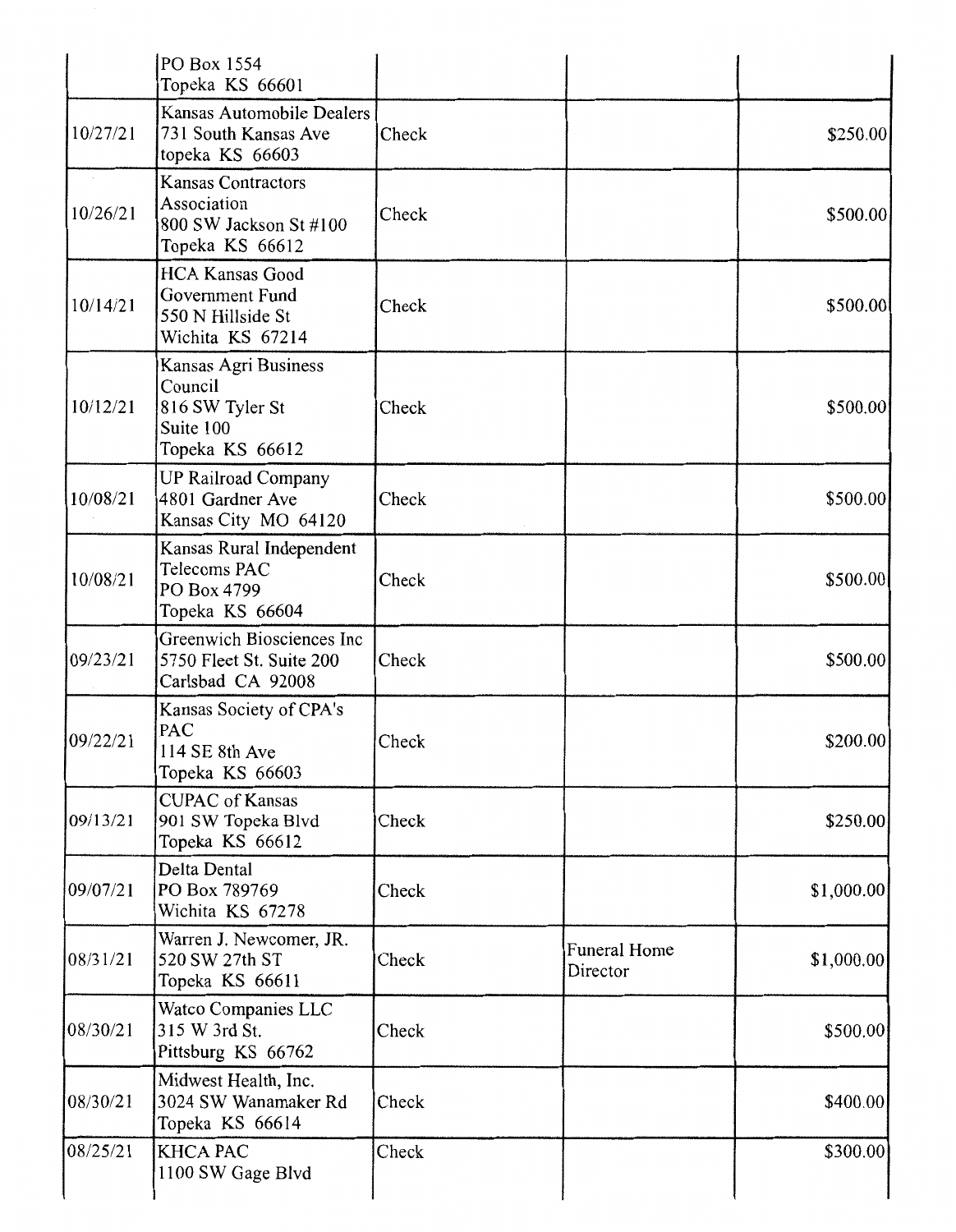|          | PO Box 1554<br>Topeka KS 66601                                                        |       |                                 |            |
|----------|---------------------------------------------------------------------------------------|-------|---------------------------------|------------|
| 10/27/21 | Kansas Automobile Dealers<br>731 South Kansas Ave<br>topeka KS 66603                  | Check |                                 | \$250.00   |
| 10/26/21 | <b>Kansas Contractors</b><br>Association<br>800 SW Jackson St #100<br>Topeka KS 66612 | Check |                                 | \$500.00   |
| 10/14/21 | <b>HCA Kansas Good</b><br>Government Fund<br>550 N Hillside St<br>Wichita KS 67214    | Check |                                 | \$500.00   |
| 10/12/21 | Kansas Agri Business<br>Council<br>816 SW Tyler St<br>Suite 100<br>Topeka KS 66612    | Check |                                 | \$500.00   |
| 10/08/21 | <b>UP Railroad Company</b><br>4801 Gardner Ave<br>Kansas City MO 64120                | Check |                                 | \$500.00   |
| 10/08/21 | Kansas Rural Independent<br>Telecoms PAC<br>PO Box 4799<br>Topeka KS 66604            | Check |                                 | \$500.00   |
| 09/23/21 | Greenwich Biosciences Inc<br>5750 Fleet St. Suite 200<br>Carlsbad CA 92008            | Check |                                 | \$500.00   |
| 09/22/21 | Kansas Society of CPA's<br>PAC<br>114 SE 8th Ave<br>Topeka KS 66603                   | Check |                                 | \$200.00]  |
| 09/13/21 | <b>CUPAC</b> of Kansas<br>901 SW Topeka Blvd<br>Topeka KS 66612                       | Check |                                 | \$250.00   |
| 09/07/21 | Delta Dental<br>PO Box 789769<br>Wichita KS 67278                                     | Check |                                 | \$1,000.00 |
| 08/31/21 | Warren J. Newcomer, JR.<br>520 SW 27th ST<br>Topeka KS 66611                          | Check | <b>Funeral Home</b><br>Director | \$1,000.00 |
| 08/30/21 | Watco Companies LLC<br>315 W 3rd St.<br>Pittsburg KS 66762                            | Check |                                 | \$500.00   |
| 08/30/21 | Midwest Health, Inc.<br>3024 SW Wanamaker Rd<br>Topeka KS 66614                       | Check |                                 | \$400.00   |
| 08/25/21 | <b>KHCA PAC</b><br>1100 SW Gage Blvd                                                  | Check |                                 | \$300.00   |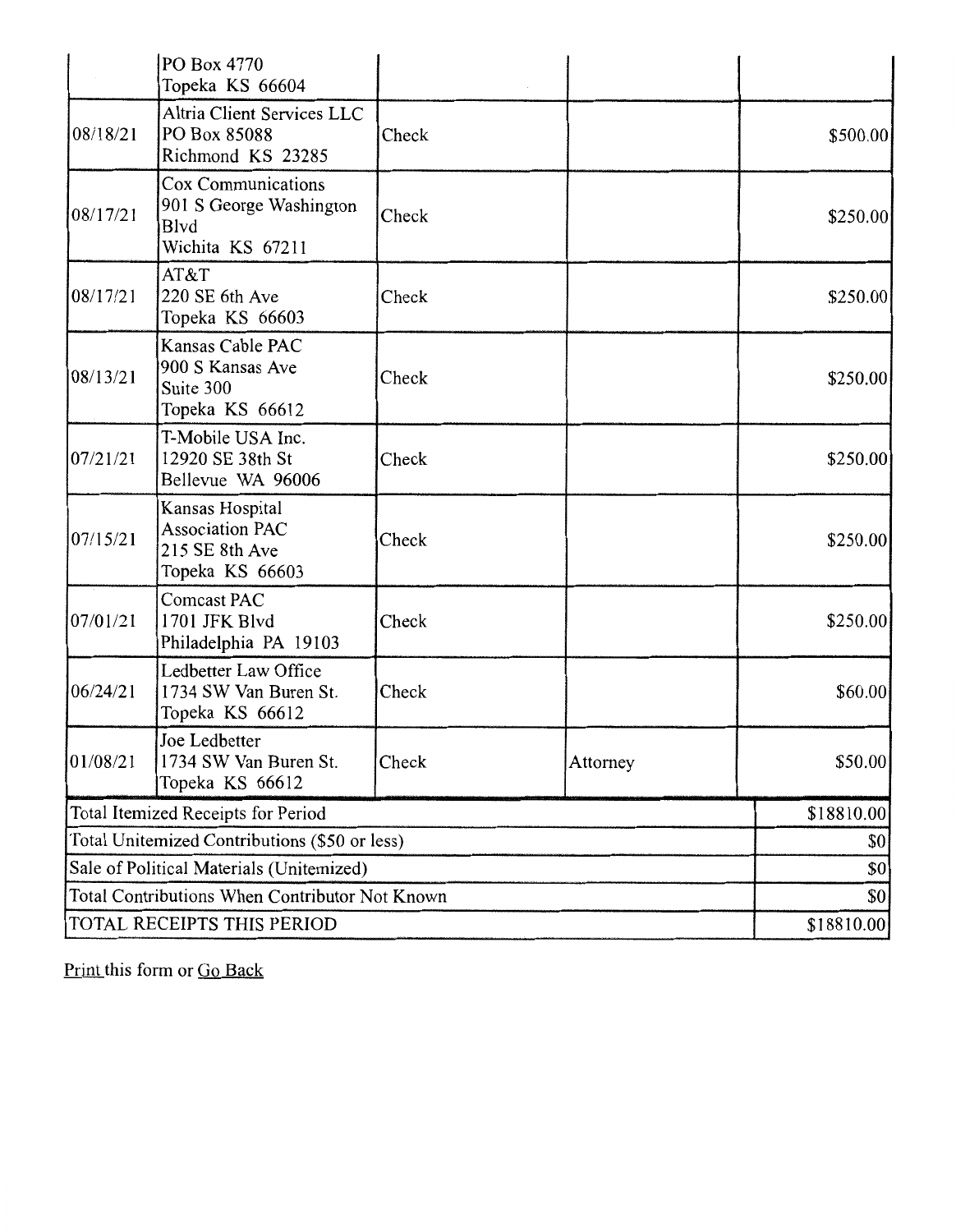|                                                | PO Box 4770<br>Topeka KS 66604                                                 |       |            |          |
|------------------------------------------------|--------------------------------------------------------------------------------|-------|------------|----------|
| 08/18/21                                       | Altria Client Services LLC<br>PO Box 85088<br>Richmond KS 23285                | Check |            | \$500.00 |
| 08/17/21                                       | Cox Communications<br>901 S George Washington<br>Blvd<br>Wichita KS 67211      | Check |            | \$250.00 |
| 08/17/21                                       | AT&T<br>220 SE 6th Ave<br>Topeka KS 66603                                      | Check |            | \$250.00 |
| 08/13/21                                       | Kansas Cable PAC<br>900 S Kansas Ave<br>Suite 300<br>Topeka KS 66612           | Check |            | \$250.00 |
| 07/21/21                                       | T-Mobile USA Inc.<br>12920 SE 38th St<br>Bellevue WA 96006                     | Check |            | \$250.00 |
| 07/15/21                                       | Kansas Hospital<br><b>Association PAC</b><br>215 SE 8th Ave<br>Topeka KS 66603 | Check |            | \$250.00 |
| 07/01/21                                       | <b>Comcast PAC</b><br>1701 JFK Blvd<br>Philadelphia PA 19103                   | Check |            | \$250.00 |
| 06/24/21                                       | Ledbetter Law Office<br>1734 SW Van Buren St.<br>Topeka KS 66612               | Check |            | \$60.00  |
| 01/08/21                                       | Joe Ledbetter<br>1734 SW Van Buren St.<br>Topeka KS 66612                      | Check | Attorney   | \$50.00  |
| Total Itemized Receipts for Period             |                                                                                |       | \$18810.00 |          |
| Total Unitemized Contributions (\$50 or less)  |                                                                                |       | \$0        |          |
| Sale of Political Materials (Unitemized)       |                                                                                |       | \$0        |          |
| Total Contributions When Contributor Not Known |                                                                                |       | \$0        |          |
| TOTAL RECEIPTS THIS PERIOD                     |                                                                                |       | \$18810.00 |          |

Print this form or Go Back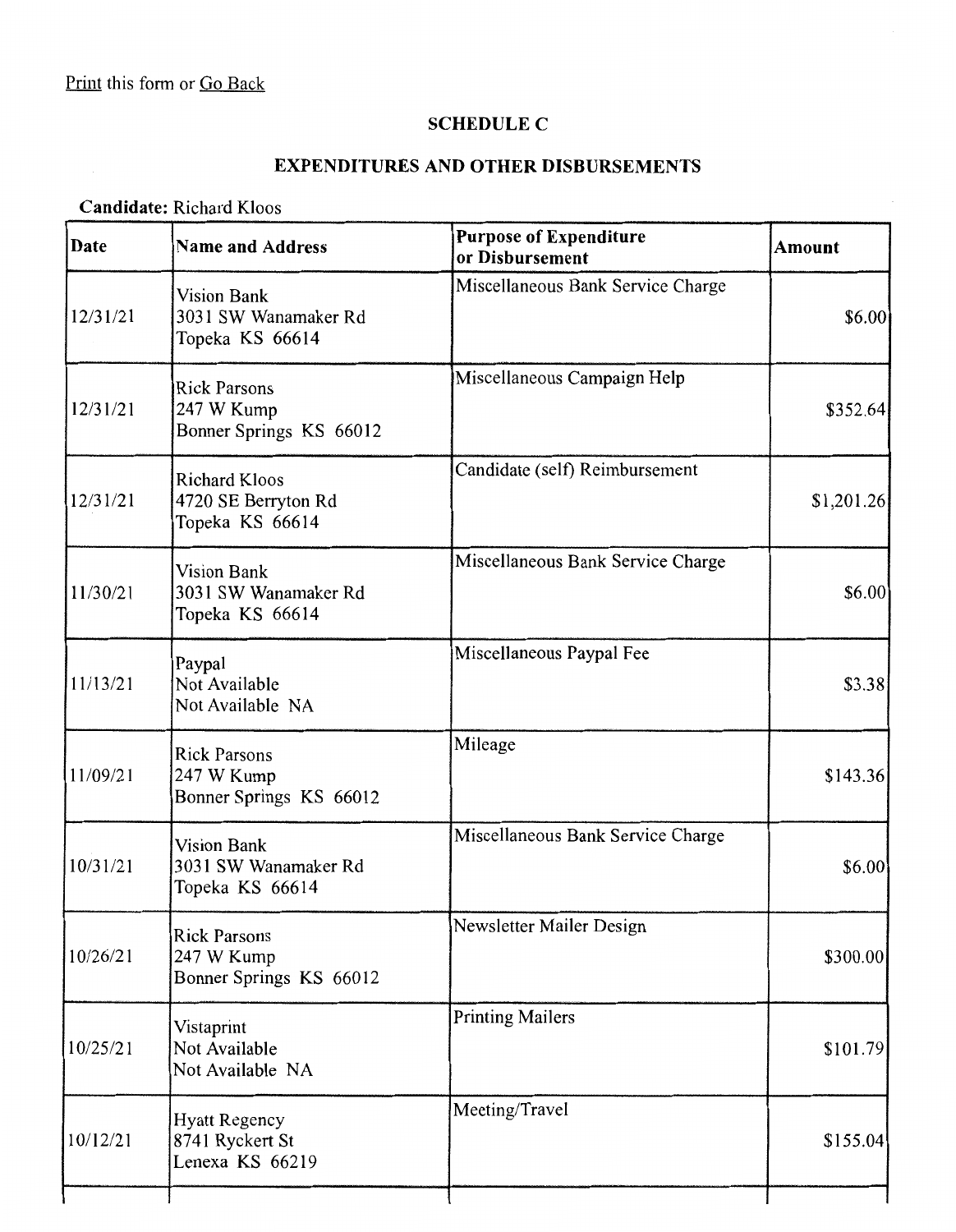## **SCHEDULE C**

# **EXPENDITURES AND OTHER DISBURSEMENTS**

### **Candidate:** Richard Kloos

| Date     | <b>Name and Address</b>                                        | <b>Purpose of Expenditure</b><br>or Disbursement | <b>Amount</b> |
|----------|----------------------------------------------------------------|--------------------------------------------------|---------------|
| 12/31/21 | <b>Vision Bank</b><br>3031 SW Wanamaker Rd<br>Topeka KS 66614  | Miscellaneous Bank Service Charge                | \$6.00        |
| 12/31/21 | <b>Rick Parsons</b><br>247 W Kump<br>Bonner Springs KS 66012   | Miscellaneous Campaign Help                      | \$352.64      |
| 12/31/21 | <b>Richard Kloos</b><br>4720 SE Berryton Rd<br>Topeka KS 66614 | Candidate (self) Reimbursement                   | \$1,201.26    |
| 11/30/21 | <b>Vision Bank</b><br>3031 SW Wanamaker Rd<br>Topeka KS 66614  | Miscellaneous Bank Service Charge                | \$6.00        |
| 11/13/21 | Paypal<br>Not Available<br>Not Available NA                    | Miscellaneous Paypal Fee                         | \$3.38        |
| 11/09/21 | <b>Rick Parsons</b><br>247 W Kump<br>Bonner Springs KS 66012   | Mileage                                          | \$143.36      |
| 10/31/21 | <b>Vision Bank</b><br>3031 SW Wanamaker Rd<br>Topeka KS 66614  | Miscellaneous Bank Service Charge                | \$6.00        |
| 10/26/21 | <b>Rick Parsons</b><br>247 W Kump<br>Bonner Springs KS 66012   | Newsletter Mailer Design                         | \$300.00      |
| 10/25/21 | Vistaprint<br>Not Available<br>Not Available NA                | <b>Printing Mailers</b>                          | \$101.79      |
| 10/12/21 | <b>Hyatt Regency</b><br>8741 Ryckert St<br>Lenexa KS 66219     | Meeting/Travel                                   | \$155.04      |
|          |                                                                |                                                  |               |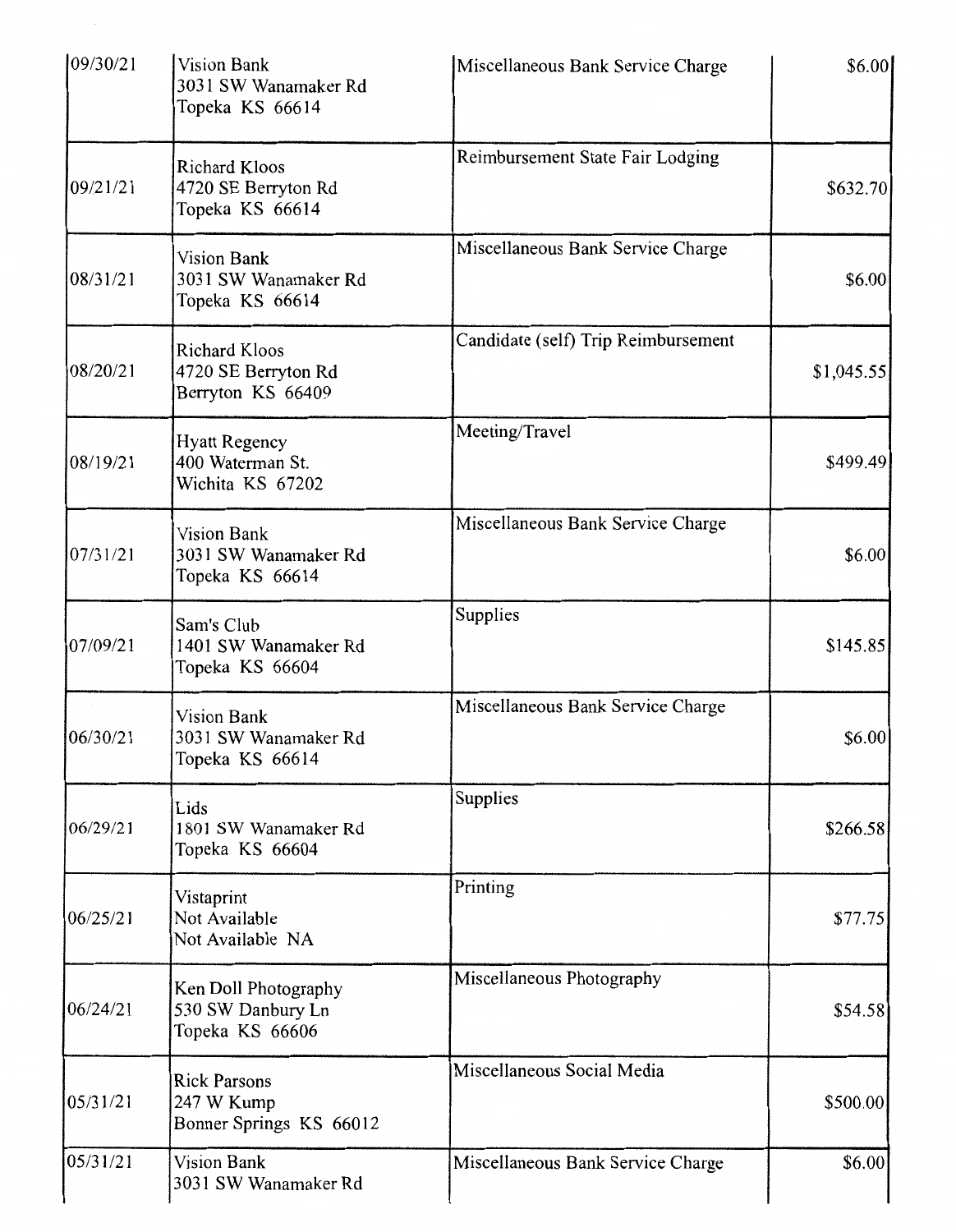| 09/30/21 | Vision Bank<br>3031 SW Wanamaker Rd<br>Topeka KS 66614           | Miscellaneous Bank Service Charge   | \$6.00     |
|----------|------------------------------------------------------------------|-------------------------------------|------------|
| 09/21/21 | Richard Kloos<br>4720 SE Berryton Rd<br>Topeka KS 66614          | Reimbursement State Fair Lodging    | \$632.70]  |
| 08/31/21 | <b>Vision Bank</b><br>3031 SW Wanamaker Rd<br>Topeka KS 66614    | Miscellaneous Bank Service Charge   | \$6.00     |
| 08/20/21 | <b>Richard Kloos</b><br>4720 SE Berryton Rd<br>Berryton KS 66409 | Candidate (self) Trip Reimbursement | \$1,045.55 |
| 08/19/21 | <b>Hyatt Regency</b><br>400 Waterman St.<br>Wichita KS 67202     | Meeting/Travel                      | \$499.49   |
| 07/31/21 | <b>Vision Bank</b><br>3031 SW Wanamaker Rd<br>Topeka KS 66614    | Miscellaneous Bank Service Charge   | \$6.00     |
| 07/09/21 | Sam's Club<br>1401 SW Wanamaker Rd<br>Topeka KS 66604            | Supplies                            | \$145.85   |
| 06/30/21 | <b>Vision Bank</b><br>3031 SW Wanamaker Rd<br>Topeka KS 66614    | Miscellaneous Bank Service Charge   | \$6.00     |
| 06/29/21 | Lids<br>1801 SW Wanamaker Rd<br>Topeka KS 66604                  | Supplies                            | \$266.58   |
| 06/25/21 | Vistaprint<br>Not Available<br>Not Available NA                  | Printing                            | \$77.75    |
| 06/24/21 | Ken Doll Photography<br>530 SW Danbury Ln<br>Topeka KS 66606     | Miscellaneous Photography           | \$54.58    |
| 05/31/21 | <b>Rick Parsons</b><br>247 W Kump<br>Bonner Springs KS 66012     | Miscellaneous Social Media          | \$500.00   |
| 05/31/21 | <b>Vision Bank</b><br>3031 SW Wanamaker Rd                       | Miscellaneous Bank Service Charge   | \$6.00     |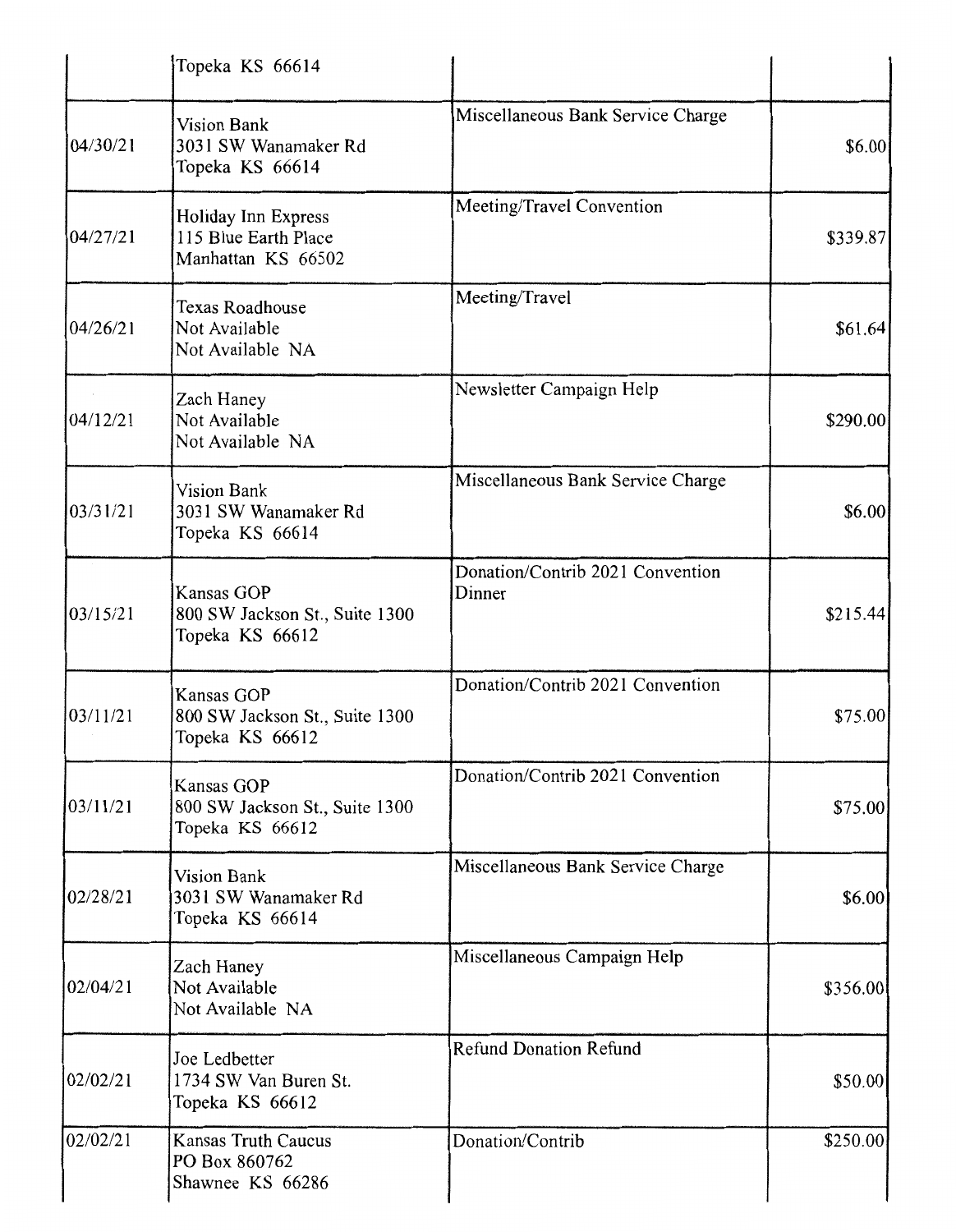|          | Topeka KS 66614                                                   |                                            |          |
|----------|-------------------------------------------------------------------|--------------------------------------------|----------|
| 04/30/21 | Vision Bank<br>3031 SW Wanamaker Rd<br>Topeka KS 66614            | Miscellaneous Bank Service Charge          | \$6.00   |
| 04/27/21 | Holiday Inn Express<br>115 Blue Earth Place<br>Manhattan KS 66502 | Meeting/Travel Convention                  | \$339.87 |
| 04/26/21 | <b>Texas Roadhouse</b><br>Not Available<br>Not Available NA       | Meeting/Travel                             | \$61.64  |
| 04/12/21 | Zach Haney<br>Not Available<br>Not Available NA                   | Newsletter Campaign Help                   | \$290.00 |
| 03/31/21 | Vision Bank<br>3031 SW Wanamaker Rd<br>Topeka KS 66614            | Miscellaneous Bank Service Charge          | \$6.00]  |
| 03/15/21 | Kansas GOP<br>800 SW Jackson St., Suite 1300<br>Topeka KS 66612   | Donation/Contrib 2021 Convention<br>Dinner | \$215.44 |
| 03/11/21 | Kansas GOP<br>800 SW Jackson St., Suite 1300<br>Topeka KS 66612   | Donation/Contrib 2021 Convention           | \$75.00  |
| 03/11/21 | Kansas GOP<br>800 SW Jackson St., Suite 1300<br>Topeka KS 66612   | Donation/Contrib 2021 Convention           | \$75.00  |
| 02/28/21 | <b>Vision Bank</b><br>3031 SW Wanamaker Rd<br>Topeka KS 66614     | Miscellaneous Bank Service Charge          | \$6.00   |
| 02/04/21 | Zach Haney<br>Not Available<br>Not Available NA                   | Miscellaneous Campaign Help                | \$356.00 |
| 02/02/21 | Joe Ledbetter<br>1734 SW Van Buren St.<br>Topeka KS 66612         | <b>Refund Donation Refund</b>              | \$50.00  |
| 02/02/21 | Kansas Truth Caucus<br>PO Box 860762<br>Shawnee KS 66286          | Donation/Contrib                           | \$250.00 |